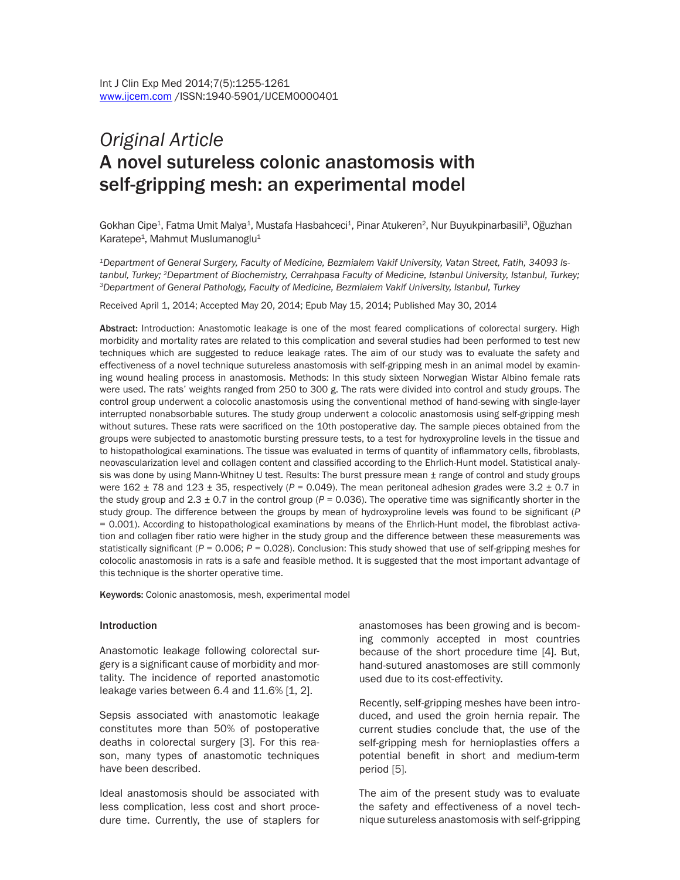# *Original Article*  A novel sutureless colonic anastomosis with self-gripping mesh: an experimental model

Gokhan Cipe<sup>1</sup>, Fatma Umit Malya<sup>1</sup>, Mustafa Hasbahceci<sup>1</sup>, Pinar Atukeren<sup>2</sup>, Nur Buyukpinarbasili<sup>3</sup>, Oğuzhan Karatepe<sup>1</sup>, Mahmut Muslumanoglu<sup>1</sup>

*1Department of General Surgery, Faculty of Medicine, Bezmialem Vakif University, Vatan Street, Fatih, 34093 Is*tanbul, Turkey; <sup>2</sup>Department of Biochemistry, Cerrahpasa Faculty of Medicine, Istanbul University, Istanbul, Turkey;<br><sup>3</sup>Department of General Pathology, Faculty of Medicine, Bezmialem Vakif University, Istanbul, Turkey

Received April 1, 2014; Accepted May 20, 2014; Epub May 15, 2014; Published May 30, 2014

Abstract: Introduction: Anastomotic leakage is one of the most feared complications of colorectal surgery. High morbidity and mortality rates are related to this complication and several studies had been performed to test new techniques which are suggested to reduce leakage rates. The aim of our study was to evaluate the safety and effectiveness of a novel technique sutureless anastomosis with self-gripping mesh in an animal model by examining wound healing process in anastomosis. Methods: In this study sixteen Norwegian Wistar Albino female rats were used. The rats' weights ranged from 250 to 300 g. The rats were divided into control and study groups. The control group underwent a colocolic anastomosis using the conventional method of hand-sewing with single-layer interrupted nonabsorbable sutures. The study group underwent a colocolic anastomosis using self-gripping mesh without sutures. These rats were sacrificed on the 10th postoperative day. The sample pieces obtained from the groups were subjected to anastomotic bursting pressure tests, to a test for hydroxyproline levels in the tissue and to histopathological examinations. The tissue was evaluated in terms of quantity of inflammatory cells, fibroblasts, neovascularization level and collagen content and classified according to the Ehrlich-Hunt model. Statistical analysis was done by using Mann-Whitney U test. Results: The burst pressure mean  $\pm$  range of control and study groups were 162 ± 78 and 123 ± 35, respectively (*P* = 0.049). The mean peritoneal adhesion grades were 3.2 ± 0.7 in the study group and  $2.3 \pm 0.7$  in the control group ( $P = 0.036$ ). The operative time was significantly shorter in the study group. The difference between the groups by mean of hydroxyproline levels was found to be significant (*P*  = 0.001). According to histopathological examinations by means of the Ehrlich-Hunt model, the fibroblast activation and collagen fiber ratio were higher in the study group and the difference between these measurements was statistically significant (*P* = 0.006; *P* = 0.028). Conclusion: This study showed that use of self-gripping meshes for colocolic anastomosis in rats is a safe and feasible method. It is suggested that the most important advantage of this technique is the shorter operative time.

Keywords: Colonic anastomosis, mesh, experimental model

#### Introduction

Anastomotic leakage following colorectal surgery is a significant cause of morbidity and mortality. The incidence of reported anastomotic leakage varies between 6.4 and 11.6% [1, 2].

Sepsis associated with anastomotic leakage constitutes more than 50% of postoperative deaths in colorectal surgery [3]. For this reason, many types of anastomotic techniques have been described.

Ideal anastomosis should be associated with less complication, less cost and short procedure time. Currently, the use of staplers for anastomoses has been growing and is becoming commonly accepted in most countries because of the short procedure time [4]. But, hand-sutured anastomoses are still commonly used due to its cost-effectivity.

Recently, self-gripping meshes have been introduced, and used the groin hernia repair. The current studies conclude that, the use of the self-gripping mesh for hernioplasties offers a potential benefit in short and medium-term period [5].

The aim of the present study was to evaluate the safety and effectiveness of a novel technique sutureless anastomosis with self-gripping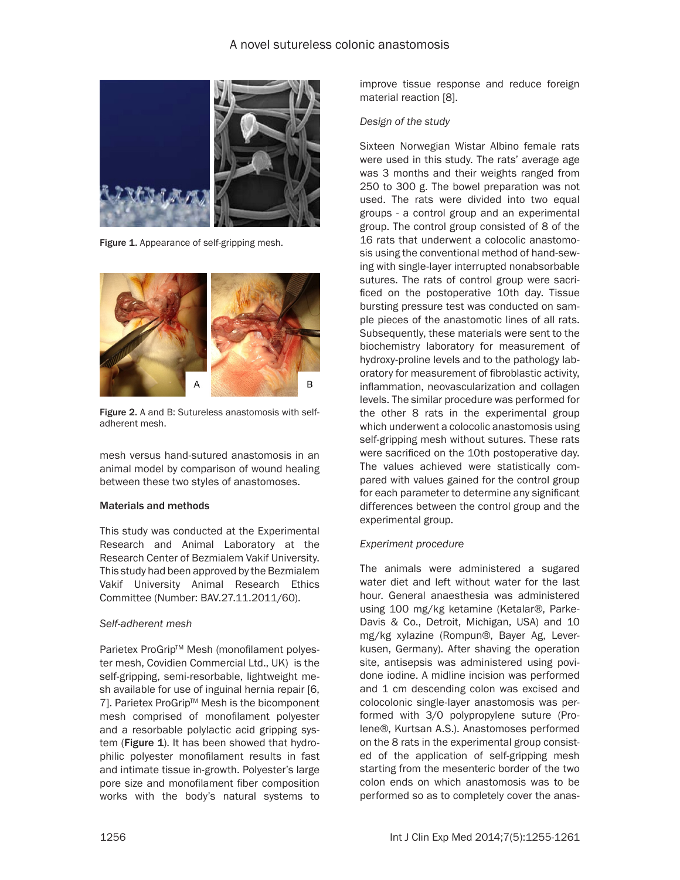## A novel sutureless colonic anastomosis



Figure 1. Appearance of self-gripping mesh.



Figure 2. A and B: Sutureless anastomosis with selfadherent mesh.

mesh versus hand-sutured anastomosis in an animal model by comparison of wound healing between these two styles of anastomoses.

#### Materials and methods

This study was conducted at the Experimental Research and Animal Laboratory at the Research Center of Bezmialem Vakif University. This study had been approved by the Bezmialem Vakif University Animal Research Ethics Committee (Number: BAV.27.11.2011/60).

#### *Self-adherent mesh*

Parietex ProGrip™ Mesh (monofilament polyester mesh, Covidien Commercial Ltd., UK) is the self-gripping, semi-resorbable, lightweight mesh available for use of inguinal hernia repair [6, 7]. Parietex ProGrip™ Mesh is the bicomponent mesh comprised of monofilament polyester and a resorbable polylactic acid gripping system (Figure 1). It has been showed that hydrophilic polyester monofilament results in fast and intimate tissue in-growth. Polyester's large pore size and monofilament fiber composition works with the body's natural systems to improve tissue response and reduce foreign material reaction [8].

#### *Design of the study*

Sixteen Norwegian Wistar Albino female rats were used in this study. The rats' average age was 3 months and their weights ranged from 250 to 300 g. The bowel preparation was not used. The rats were divided into two equal groups - a control group and an experimental group. The control group consisted of 8 of the 16 rats that underwent a colocolic anastomosis using the conventional method of hand-sewing with single-layer interrupted nonabsorbable sutures. The rats of control group were sacrificed on the postoperative 10th day. Tissue bursting pressure test was conducted on sample pieces of the anastomotic lines of all rats. Subsequently, these materials were sent to the biochemistry laboratory for measurement of hydroxy-proline levels and to the pathology laboratory for measurement of fibroblastic activity, inflammation, neovascularization and collagen levels. The similar procedure was performed for the other 8 rats in the experimental group which underwent a colocolic anastomosis using self-gripping mesh without sutures. These rats were sacrificed on the 10th postoperative day. The values achieved were statistically compared with values gained for the control group for each parameter to determine any significant differences between the control group and the experimental group.

## *Experiment procedure*

The animals were administered a sugared water diet and left without water for the last hour. General anaesthesia was administered using 100 mg/kg ketamine (Ketalar®, Parke-Davis & Co., Detroit, Michigan, USA) and 10 mg/kg xylazine (Rompun®, Bayer Ag, Leverkusen, Germany). After shaving the operation site, antisepsis was administered using povidone iodine. A midline incision was performed and 1 cm descending colon was excised and colocolonic single-layer anastomosis was performed with 3/0 polypropylene suture (Prolene®, Kurtsan A.S.). Anastomoses performed on the 8 rats in the experimental group consisted of the application of self-gripping mesh starting from the mesenteric border of the two colon ends on which anastomosis was to be performed so as to completely cover the anas-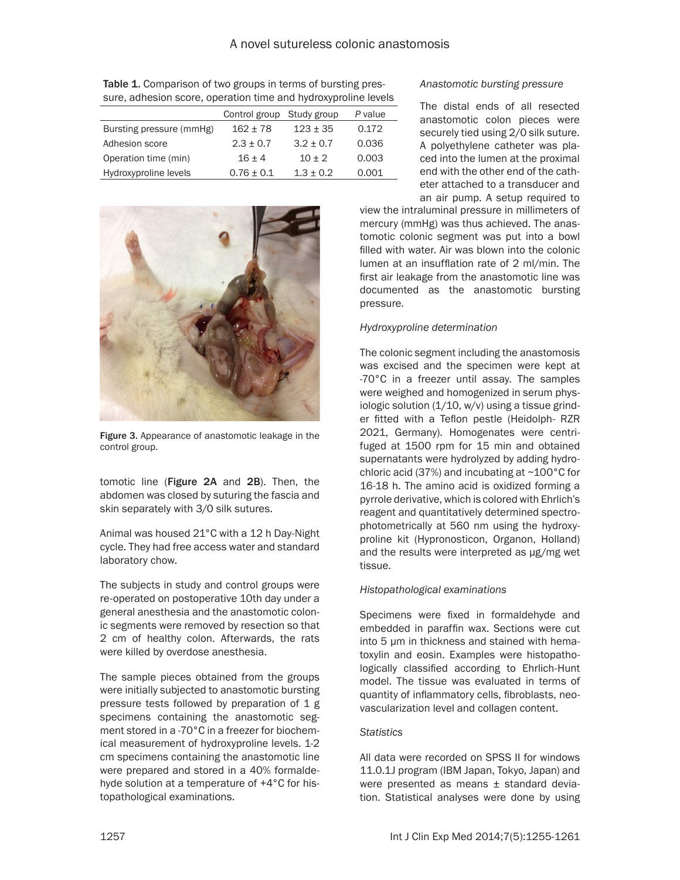| <u>Udio, dancolon Jooro, opoiduon unio dila nydrosypiolino icyclo</u> |                           |               |         |  |  |  |  |  |
|-----------------------------------------------------------------------|---------------------------|---------------|---------|--|--|--|--|--|
|                                                                       | Control group Study group |               | P value |  |  |  |  |  |
| Bursting pressure (mmHg)                                              | $162 + 78$                | $123 + 35$    | 0.172   |  |  |  |  |  |
| Adhesion score                                                        | $2.3 + 0.7$               | $3.2 + 0.7$   | 0.036   |  |  |  |  |  |
| Operation time (min)                                                  | $16 + 4$                  | $10 + 2$      | 0.003   |  |  |  |  |  |
| Hydroxyproline levels                                                 | $0.76 \pm 0.1$            | $1.3 \pm 0.2$ | 0.001   |  |  |  |  |  |

Table 1. Comparison of two groups in terms of bursting pressure, adhesion score, operation time and hydroxyproline levels



Figure 3. Appearance of anastomotic leakage in the control group.

tomotic line (Figure 2A and 2B). Then, the abdomen was closed by suturing the fascia and skin separately with 3/0 silk sutures.

Animal was housed 21°C with a 12 h Day-Night cycle. They had free access water and standard laboratory chow.

The subjects in study and control groups were re-operated on postoperative 10th day under a general anesthesia and the anastomotic colonic segments were removed by resection so that 2 cm of healthy colon. Afterwards, the rats were killed by overdose anesthesia.

The sample pieces obtained from the groups were initially subjected to anastomotic bursting pressure tests followed by preparation of 1 g specimens containing the anastomotic segment stored in a -70°C in a freezer for biochemical measurement of hydroxyproline levels. 1-2 cm specimens containing the anastomotic line were prepared and stored in a 40% formaldehyde solution at a temperature of +4°C for histopathological examinations.

## *Anastomotic bursting pressure*

The distal ends of all resected anastomotic colon pieces were securely tied using 2/0 silk suture. A polyethylene catheter was placed into the lumen at the proximal end with the other end of the catheter attached to a transducer and an air pump. A setup required to

view the intraluminal pressure in millimeters of mercury (mmHg) was thus achieved. The anastomotic colonic segment was put into a bowl filled with water. Air was blown into the colonic lumen at an insufflation rate of 2 ml/min. The first air leakage from the anastomotic line was documented as the anastomotic bursting pressure.

## *Hydroxyproline determination*

The colonic segment including the anastomosis was excised and the specimen were kept at -70°C in a freezer until assay. The samples were weighed and homogenized in serum physiologic solution (1/10, w/v) using a tissue grinder fitted with a Teflon pestle (Heidolph- RZR 2021, Germany). Homogenates were centrifuged at 1500 rpm for 15 min and obtained supernatants were hydrolyzed by adding hydrochloric acid (37%) and incubating at  $\sim$ 100 $^{\circ}$ C for 16-18 h. The amino acid is oxidized forming a pyrrole derivative, which is colored with Ehrlich's reagent and quantitatively determined spectrophotometrically at 560 nm using the hydroxyproline kit (Hypronosticon, Organon, Holland) and the results were interpreted as µg/mg wet tissue.

## *Histopathological examinations*

Specimens were fixed in formaldehyde and embedded in paraffin wax. Sections were cut into 5 µm in thickness and stained with hematoxylin and eosin. Examples were histopathologically classified according to Ehrlich-Hunt model. The tissue was evaluated in terms of quantity of inflammatory cells, fibroblasts, neovascularization level and collagen content.

## *Statistics*

All data were recorded on SPSS II for windows 11.0.1J program (IBM Japan, Tokyo, Japan) and were presented as means ± standard deviation. Statistical analyses were done by using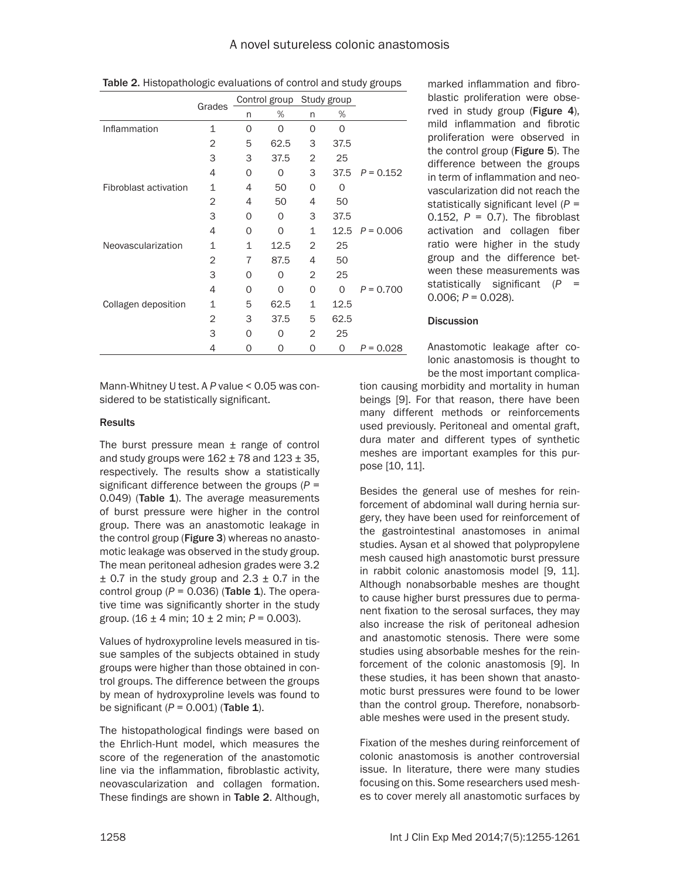|                       |                | Control group |          | Study group |          |             |
|-----------------------|----------------|---------------|----------|-------------|----------|-------------|
| Grades                | n              | %             | n        | %           |          |             |
| Inflammation          | 1              | $\Omega$      | $\Omega$ | $\Omega$    | $\Omega$ |             |
|                       | 2              | 5             | 62.5     | 3           | 37.5     |             |
|                       | 3              | 3             | 37.5     | 2           | 25       |             |
|                       | 4              | 0             | $\Omega$ | 3           | 37.5     | $P = 0.152$ |
| Fibroblast activation | 1              | 4             | 50       | Ω           | Ω        |             |
|                       | $\overline{2}$ | 4             | 50       | 4           | 50       |             |
|                       | 3              | 0             | $\Omega$ | 3           | 37.5     |             |
|                       | 4              | $\Omega$      | 0        | 1           | 12.5     | $P = 0.006$ |
| Neovascularization    | 1              | 1             | 12.5     | 2           | 25       |             |
|                       | 2              | 7             | 87.5     | 4           | 50       |             |
|                       | 3              | 0             | O        | 2           | 25       |             |
|                       | 4              | $\Omega$      | 0        | 0           | $\Omega$ | $P = 0.700$ |
| Collagen deposition   | 1              | 5             | 62.5     | 1           | 12.5     |             |
|                       | 2              | 3             | 37.5     | 5           | 62.5     |             |
|                       | 3              | $\Omega$      | Ω        | 2           | 25       |             |
|                       | 4              | 0             | O        | 0           | 0        | $P = 0.028$ |
|                       |                |               |          |             |          |             |

Table 2. Histopathologic evaluations of control and study groups

Mann-Whitney U test. A *P* value < 0.05 was considered to be statistically significant.

## **Results**

The burst pressure mean  $\pm$  range of control and study groups were  $162 \pm 78$  and  $123 \pm 35$ , respectively. The results show a statistically significant difference between the groups (*P* = 0.049) (Table 1). The average measurements of burst pressure were higher in the control group. There was an anastomotic leakage in the control group (Figure 3) whereas no anastomotic leakage was observed in the study group. The mean peritoneal adhesion grades were 3.2  $\pm$  0.7 in the study group and 2.3  $\pm$  0.7 in the control group  $(P = 0.036)$  (Table 1). The operative time was significantly shorter in the study group. (16 ± 4 min; 10 ± 2 min; *P* = 0.003).

Values of hydroxyproline levels measured in tissue samples of the subjects obtained in study groups were higher than those obtained in control groups. The difference between the groups by mean of hydroxyproline levels was found to be significant  $(P = 0.001)$  (Table 1).

The histopathological findings were based on the Ehrlich-Hunt model, which measures the score of the regeneration of the anastomotic line via the inflammation, fibroblastic activity, neovascularization and collagen formation. These findings are shown in Table 2. Although, marked inflammation and fibroblastic proliferation were observed in study group (Figure 4), mild inflammation and fibrotic proliferation were observed in the control group (Figure 5). The difference between the groups in term of inflammation and neovascularization did not reach the statistically significant level (*P* = 0.152, *P* = 0.7). The fibroblast activation and collagen fiber ratio were higher in the study group and the difference between these measurements was statistically significant (*P* = 0.006; *P* = 0.028).

## **Discussion**

Anastomotic leakage after colonic anastomosis is thought to be the most important complica-

tion causing morbidity and mortality in human beings [9]. For that reason, there have been many different methods or reinforcements used previously. Peritoneal and omental graft, dura mater and different types of synthetic meshes are important examples for this purpose [10, 11].

Besides the general use of meshes for reinforcement of abdominal wall during hernia surgery, they have been used for reinforcement of the gastrointestinal anastomoses in animal studies. Aysan et al showed that polypropylene mesh caused high anastomotic burst pressure in rabbit colonic anastomosis model [9, 11]. Although nonabsorbable meshes are thought to cause higher burst pressures due to permanent fixation to the serosal surfaces, they may also increase the risk of peritoneal adhesion and anastomotic stenosis. There were some studies using absorbable meshes for the reinforcement of the colonic anastomosis [9]. In these studies, it has been shown that anastomotic burst pressures were found to be lower than the control group. Therefore, nonabsorbable meshes were used in the present study.

Fixation of the meshes during reinforcement of colonic anastomosis is another controversial issue. In literature, there were many studies focusing on this. Some researchers used meshes to cover merely all anastomotic surfaces by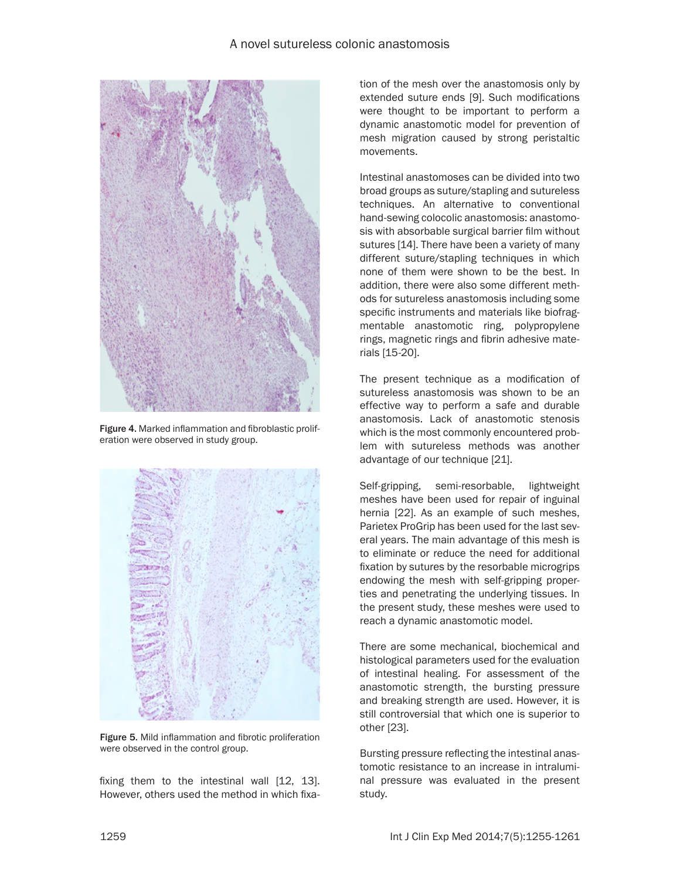

Figure 4. Marked inflammation and fibroblastic proliferation were observed in study group.



Figure 5. Mild inflammation and fibrotic proliferation were observed in the control group.

fixing them to the intestinal wall [12, 13]. However, others used the method in which fixation of the mesh over the anastomosis only by extended suture ends [9]. Such modifications were thought to be important to perform a dynamic anastomotic model for prevention of mesh migration caused by strong peristaltic movements.

Intestinal anastomoses can be divided into two broad groups as suture/stapling and sutureless techniques. An alternative to conventional hand-sewing colocolic anastomosis: anastomosis with absorbable surgical barrier film without sutures [14]. There have been a variety of many different suture/stapling techniques in which none of them were shown to be the best. In addition, there were also some different methods for sutureless anastomosis including some specific instruments and materials like biofragmentable anastomotic ring, polypropylene rings, magnetic rings and fibrin adhesive materials [15-20].

The present technique as a modification of sutureless anastomosis was shown to be an effective way to perform a safe and durable anastomosis. Lack of anastomotic stenosis which is the most commonly encountered problem with sutureless methods was another advantage of our technique [21].

Self-gripping, semi-resorbable, lightweight meshes have been used for repair of inguinal hernia [22]. As an example of such meshes, Parietex ProGrip has been used for the last several years. The main advantage of this mesh is to eliminate or reduce the need for additional fixation by sutures by the resorbable microgrips endowing the mesh with self-gripping properties and penetrating the underlying tissues. In the present study, these meshes were used to reach a dynamic anastomotic model.

There are some mechanical, biochemical and histological parameters used for the evaluation of intestinal healing. For assessment of the anastomotic strength, the bursting pressure and breaking strength are used. However, it is still controversial that which one is superior to other [23].

Bursting pressure reflecting the intestinal anastomotic resistance to an increase in intraluminal pressure was evaluated in the present study.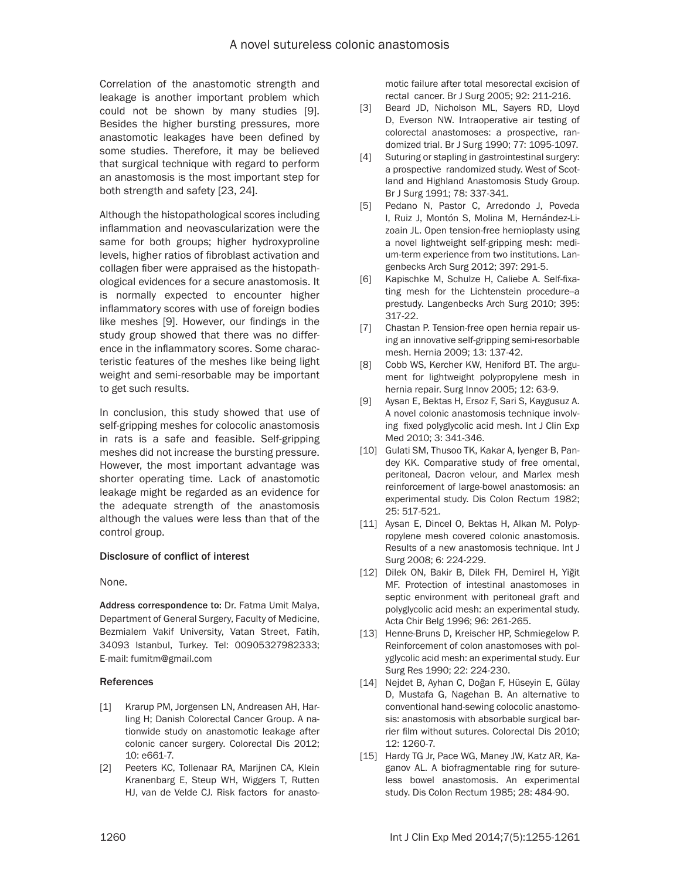Correlation of the anastomotic strength and leakage is another important problem which could not be shown by many studies [9]. Besides the higher bursting pressures, more anastomotic leakages have been defined by some studies. Therefore, it may be believed that surgical technique with regard to perform an anastomosis is the most important step for both strength and safety [23, 24].

Although the histopathological scores including inflammation and neovascularization were the same for both groups; higher hydroxyproline levels, higher ratios of fibroblast activation and collagen fiber were appraised as the histopathological evidences for a secure anastomosis. It is normally expected to encounter higher inflammatory scores with use of foreign bodies like meshes [9]. However, our findings in the study group showed that there was no difference in the inflammatory scores. Some characteristic features of the meshes like being light weight and semi-resorbable may be important to get such results.

In conclusion, this study showed that use of self-gripping meshes for colocolic anastomosis in rats is a safe and feasible. Self-gripping meshes did not increase the bursting pressure. However, the most important advantage was shorter operating time. Lack of anastomotic leakage might be regarded as an evidence for the adequate strength of the anastomosis although the values were less than that of the control group.

## Disclosure of conflict of interest

None.

Address correspondence to: Dr. Fatma Umit Malya, Department of General Surgery, Faculty of Medicine, Bezmialem Vakif University, Vatan Street, Fatih, 34093 Istanbul, Turkey. Tel: 00905327982333; E-mail: [fumitm@gmail.com](mailto:fumitm@gmail.com)

#### References

- [1] Krarup PM, Jorgensen LN, Andreasen AH, Harling H; Danish Colorectal Cancer Group. A nationwide study on anastomotic leakage after colonic cancer surgery. Colorectal Dis 2012; 10: e661-7.
- [2] Peeters KC, Tollenaar RA, Marijnen CA, Klein Kranenbarg E, Steup WH, Wiggers T, Rutten HJ, van de Velde CJ*.* Risk factors for anasto-

motic failure after total mesorectal excision of rectal cancer. Br J Surg 2005; 92: 211-216.

- [3] Beard JD, Nicholson ML, Sayers RD, Lloyd D, Everson NW. Intraoperative air testing of colorectal anastomoses: a prospective, randomized trial. Br J Surg 1990; 77: 1095-1097.
- [4] Suturing or stapling in gastrointestinal surgery: a prospective randomized study. West of Scotland and Highland Anastomosis Study Group. Br J Surg 1991; 78: 337-341.
- [5] Pedano N, Pastor C, Arredondo J, Poveda I, Ruiz J, Montón S, Molina M, Hernández-Lizoain JL. Open tension-free hernioplasty using a novel lightweight self-gripping mesh: medium-term experience from two institutions. Langenbecks Arch Surg 2012; 397: 291-5.
- [6] Kapischke M, Schulze H, Caliebe A. Self-fixating mesh for the Lichtenstein procedure--a prestudy. Langenbecks Arch Surg 2010; 395: 317-22.
- [7] Chastan P. Tension-free open hernia repair using an innovative self-gripping semi-resorbable mesh. Hernia 2009; 13: 137-42.
- [8] Cobb WS, Kercher KW, Heniford BT. The argument for lightweight polypropylene mesh in hernia repair. Surg Innov 2005; 12: 63-9.
- [9] Aysan E, Bektas H, Ersoz F, Sari S, Kaygusuz A. A novel colonic anastomosis technique involving fixed polyglycolic acid mesh. Int J Clin Exp Med 2010; 3: 341-346.
- [10] Gulati SM, Thusoo TK, Kakar A, Iyenger B, Pandey KK. Comparative study of free omental, peritoneal, Dacron velour, and Marlex mesh reinforcement of large-bowel anastomosis: an experimental study. Dis Colon Rectum 1982; 25: 517-521.
- [11] Aysan E, Dincel O, Bektas H, Alkan M. Polypropylene mesh covered colonic anastomosis. Results of a new anastomosis technique. Int J Surg 2008; 6: 224-229.
- [12] Dilek ON, Bakir B, Dilek FH, Demirel H, Yiğit MF. Protection of intestinal anastomoses in septic environment with peritoneal graft and polyglycolic acid mesh: an experimental study. Acta Chir Belg 1996; 96: 261-265.
- [13] Henne-Bruns D, Kreischer HP, Schmiegelow P. Reinforcement of colon anastomoses with polyglycolic acid mesh: an experimental study. Eur Surg Res 1990; 22: 224-230.
- [14] Nejdet B, Ayhan C, Doğan F, Hüseyin E, Gülay D, Mustafa G, Nagehan B. An alternative to conventional hand-sewing colocolic anastomosis: anastomosis with absorbable surgical barrier film without sutures. Colorectal Dis 2010; 12: 1260-7.
- [15] Hardy TG Jr, Pace WG, Maney JW, Katz AR, Kaganov AL. A biofragmentable ring for sutureless bowel anastomosis. An experimental study. Dis Colon Rectum 1985; 28: 484-90.